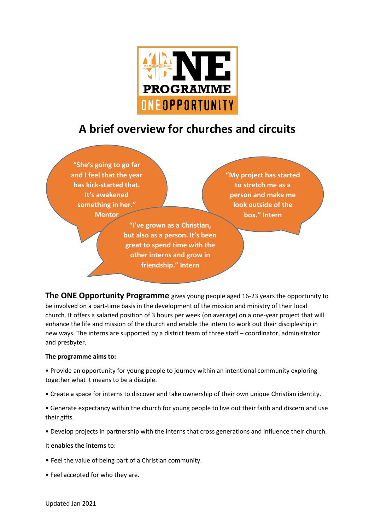

# **A brief overview for churches and circuits**

**"She's going to go far and I feel that the year has kick-started that. It's awakened something in her." Mentor**

> **"I've grown as a Christian, but also as a person. It's been great to spend time with the other interns and grow in friendship." Intern**

**"My project has started to stretch me as a person and make me look outside of the box." Intern**

**The ONE Opportunity Programme** gives young people aged 16-23 years the opportunity to be involved on a part-time basis in the development of the mission and ministry of their local church. It offers a salaried position of 3 hours per week (on average) on a one-year project that will enhance the life and mission of the church and enable the intern to work out their discipleship in new ways. The interns are supported by a district team of three staff – coordinator, administrator and presbyter.

## **The programme aims to:**

• Provide an opportunity for young people to journey within an intentional community exploring together what it means to be a disciple.

• Create a space for interns to discover and take ownership of their own unique Christian identity.

• Generate expectancy within the church for young people to live out their faith and discern and use their gifts.

• Develop projects in partnership with the interns that cross generations and influence their church.

## It **enables the interns** to:

- Feel the value of being part of a Christian community.
- Feel accepted for who they are.